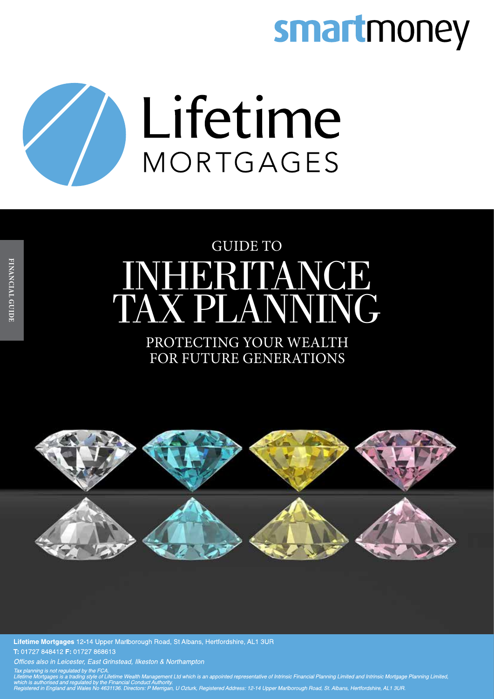# smartmoney



## INHERITANCE TAX PLANNING GUIDE TO

## PROTECTING YOUR WEALTH FOR FUTURE GENERATIONS



Lifetime Mortgages 12-14 Upper Marlborough Road, St Albans, Hertfordshire, AL1 3UR T: 01727 848412 F: 01727 868613

Offices also in Leicester, East Grinstead, Ilkeston & Northampton

e ron.<br>le of Lifetime Wealth Management Ltd which is an appointed representative of Intrinsic Financial Planning Limited and Intrinsic Mortgage Planning Limited, s authorised and regulated by the Financial Conduct Authority.<br>red in England and Wales No 4631136. Directors: P Merrigan, U Ozturk, Registered Address: 12-14 Upper Marlborough Road, St. Albans, Hertfordshire, AL1 3UR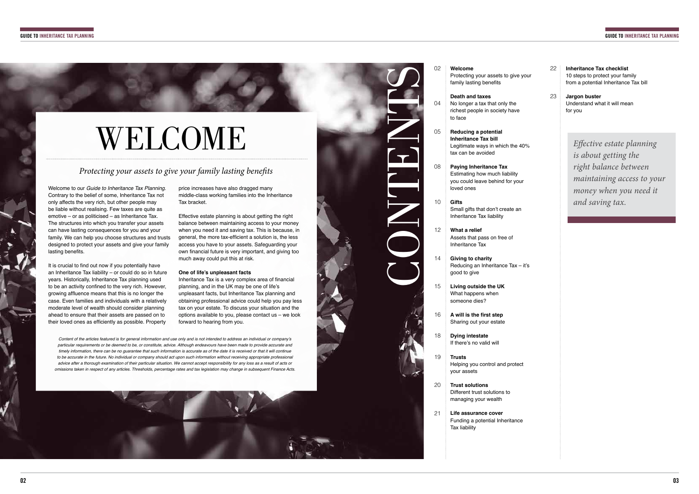# **WELCOME**

Welcome to our *Guide to Inheritance Tax Planning*. Contrary to the belief of some, Inheritance Tax not only affects the very rich, but other people may be liable without realising. Few taxes are quite as emotive – or as politicised – as Inheritance Tax. The structures into which you transfer your assets can have lasting consequences for you and your family. We can help you choose structures and trusts designed to protect your assets and give your family lasting benefits.

It is crucial to find out now if you potentially have an Inheritance Tax liability – or could do so in future years. Historically, Inheritance Tax planning used to be an activity confned to the very rich. However, growing affuence means that this is no longer the case. Even families and individuals with a relatively moderate level of wealth should consider planning ahead to ensure that their assets are passed on to their loved ones as efficiently as possible. Property

## *Protecting your assets to give your family lasting bene*f*ts*

Inheritance Tax is a very complex area of financial planning, and in the UK may be one of life's unpleasant facts, but Inheritance Tax planning and obtaining professional advice could help you pay less tax on your estate. To discuss your situation and the options available to you, please contact us – we look forward to hearing from you.

price increases have also dragged many middle-class working families into the Inheritance Tax bracket.

Effective estate planning is about getting the right balance between maintaining access to your money when you need it and saving tax. This is because, in general, the more tax-efficient a solution is, the less access you have to your assets. Safeguarding your own financial future is very important, and giving too much away could put this at risk.

- **Welcome**
- Protecting your assets to give your family lasting benefits

## **One of life's unpleasant facts**

Content of the articles featured is for general information and use only and is not intended to address an individual or company's *particular requirements or be deemed to be, or constitute, advice. Although endeavours have been made to provide accurate and timely information, there can be no quarantee that such information is accurate as of the date it is received or that it will continue to be accurate in the future. No individual or company should act upon such information without receiving appropriate professional advice after a thorough examination of their particular situation. We cannot accept responsibility for any loss as a result of acts or omissions taken in respect of any articles. Thresholds, percentage rates and tax legislation may change in subsequent Finance Acts.* 



**Death and taxes**

- No longer a tax that only the richest people in society have to face
- **Reducing a potential Inheritance Tax bill** Legitimate ways in which the 40% tax can be avoided
- 08 **Paying Inheritance Tax** Estimating how much liability you could leave behind for your loved ones
- 10 **Gifts** Small gifts that don't create an Inheritance Tax liability
- 12 **What a relief** Assets that pass on free of Inheritance Tax
- 14 **Giving to charity** Reducing an Inheritance Tax – it's good to give
- 15 **Living outside the UK** What happens when someone dies?
- 16 **A will is the frst step** Sharing out your estate
- 18 **Dying intestate** If there's no valid will
- 19 **Trusts** Helping you control and protect your assets
- 20 **Trust solutions** Different trust solutions to managing your wealth
- 21 **Life assurance cover** Funding a potential Inheritance Tax liability

**Inheritance Tax checklist** 10 steps to protect your family from a potential Inheritance Tax bill

**Jargon buster** Understand what it will mean for you 23

22

*E*f*ective estate planning is about getting the right balance between maintaining access to your money when you need it and saving tax.*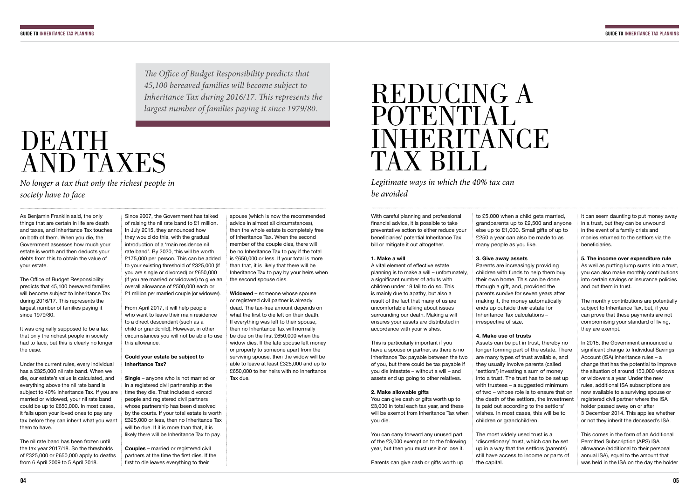# DEATH AND TAXES

As Benjamin Franklin said, the only things that are certain in life are death and taxes, and Inheritance Tax touches on both of them. When you die, the Government assesses how much your estate is worth and then deducts your debts from this to obtain the value of your estate.

The Office of Budget Responsibility predicts that 45,100 bereaved families will become subject to Inheritance Tax during 2016/17. This represents the largest number of families paying it since 1979/80.

It was originally supposed to be a tax that only the richest people in society had to face, but this is clearly no longer the case.

Under the current rules, every individual has a £325,000 nil rate band. When we die, our estate's value is calculated, and everything above the nil rate band is subject to 40% Inheritance Tax. If you are married or widowed, your nil rate band could be up to £650,000. In most cases, it falls upon your loved ones to pay any tax before they can inherit what you want them to have.

The nil rate band has been frozen until the tax year 2017/18. So the thresholds of £325,000 or £650,000 apply to deaths from 6 April 2009 to 5 April 2018.

**Couples** – married or registered civil partners at the time the first dies. If the first to die leaves everything to their

Since 2007, the Government has talked of raising the nil rate band to £1 million. In July 2015, they announced how they would do this, with the gradual introduction of a 'main residence nil rate band'. By 2020, this will be worth £175,000 per person. This can be added to your existing threshold of £325,000 (if you are single or divorced) or £650,000 (if you are married or widowed) to give an overall allowance of £500,000 each or £1 million per married couple (or widower).

From April 2017, it will help people who want to leave their main residence to a direct descendant (such as a child or grandchild). However, in other circumstances you will not be able to use this allowance.

## REDUCING A POTENTIAL INHERITANCE TAX BILL

## **Could your estate be subject to Inheritance Tax?**

**Single** – anyone who is not married or in a registered civil partnership at the time they die. That includes divorced people and registered civil partners whose partnership has been dissolved by the courts. If your total estate is worth £325,000 or less, then no Inheritance Tax will be due. If it is more than that, it is likely there will be Inheritance Tax to pay.

spouse (which is now the recommended advice in almost all circumstances), then the whole estate is completely free of Inheritance Tax. When the second member of the couple dies, there will be no Inheritance Tax to pay if the total is £650,000 or less. If your total is more than that, it is likely that there will be Inheritance Tax to pay by your heirs when the second spouse dies.

It can seem daunting to put money away in a trust, but they can be unwound in the event of a family crisis and monies returned to the settlors via the beneficiaries.

**Widowed** – someone whose spouse or registered civil partner is already dead. The tax-free amount depends on what the first to die left on their death. If everything was left to their spouse, then no Inheritance Tax will normally be due on the first £650,000 when the widow dies. If the late spouse left money or property to someone apart from the surviving spouse, then the widow will be able to leave at least £325,000 and up to £650,000 to her heirs with no Inheritance Tax due.

*No longer a tax that only the richest people in society have to face*

T*e O*f*ce of Budget Responsibility predicts that 45,100 bereaved families will become subject to Inheritance Tax during 2016/17.* T*is represents the largest number of families paying it since 1979/80.*

*Legitimate ways in which the 40% tax can be avoided*

With careful planning and professional fnancial advice, it is possible to take preventative action to either reduce your beneficiaries' potential Inheritance Tax bill or mitigate it out altogether.

### **1. Make a will**

A vital element of efective estate planning is to make a will – unfortunately, a significant number of adults with children under 18 fail to do so. This is mainly due to apathy, but also a result of the fact that many of us are uncomfortable talking about issues surrounding our death. Making a will ensures your assets are distributed in accordance with your wishes.

This is particularly important if you have a spouse or partner, as there is no Inheritance Tax payable between the two of you, but there could be tax payable if you die intestate – without a will – and assets end up going to other relatives.

### **2. Make allowable gifts**

You can give cash or gifts worth up to £3,000 in total each tax year, and these will be exempt from Inheritance Tax when you die.

You can carry forward any unused part of the £3,000 exemption to the following year, but then you must use it or lose it.

Parents can give cash or gifts worth up

to £5,000 when a child gets married, grandparents up to £2,500 and anyone else up to £1,000. Small gifts of up to £250 a year can also be made to as many people as you like.

**3. Give away assets** Parents are increasingly providing children with funds to help them buy their own home. This can be done through a gift, and, provided the parents survive for seven years after making it, the money automatically ends up outside their estate for Inheritance Tax calculations – irrespective of size.

### **4. Make use of trusts**

Assets can be put in trust, thereby no longer forming part of the estate. There are many types of trust available, and they usually involve parents (called 'settlors') investing a sum of money into a trust. The trust has to be set up with trustees – a suggested minimum of two – whose role is to ensure that on the death of the settlors, the investment is paid out according to the settlors' wishes. In most cases, this will be to children or grandchildren.

The most widely used trust is a 'discretionary' trust, which can be set up in a way that the settlors (parents) still have access to income or parts of the capital.

### **5. The income over expenditure rule**

As well as putting lump sums into a trust, you can also make monthly contributions into certain savings or insurance policies and put them in trust.

The monthly contributions are potentially subject to Inheritance Tax, but, if you can prove that these payments are not compromising your standard of living, they are exempt.

In 2015, the Government announced a significant change to Individual Savings Account (ISA) inheritance rules – a change that has the potential to improve the situation of around 150,000 widows or widowers a year. Under the new rules, additional ISA subscriptions are now available to a surviving spouse or registered civil partner where the ISA holder passed away on or after 3 December 2014. This applies whether or not they inherit the deceased's ISA.

This comes in the form of an Additional Permitted Subscription (APS) ISA allowance (additional to their personal annual ISA), equal to the amount that was held in the ISA on the day the holder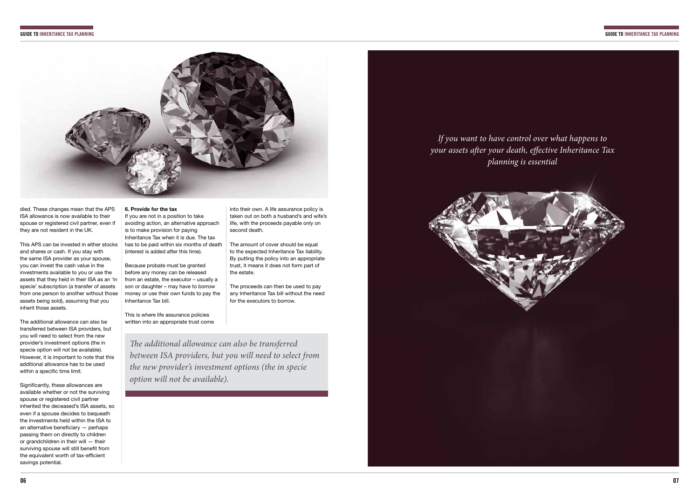



died. These changes mean that the APS ISA allowance is now available to their spouse or registered civil partner, even if they are not resident in the UK.

The additional allowance can also be transferred between ISA providers, but you will need to select from the new provider's investment options (the in specie option will not be available). However, it is important to note that this additional allowance has to be used within a specific time limit.

This APS can be invested in either stocks and shares or cash. If you stay with the same ISA provider as your spouse, you can invest the cash value in the investments available to you or use the assets that they held in their ISA as an 'in specie' subscription (a transfer of assets from one person to another without those assets being sold), assuming that you inherit those assets.

Significantly, these allowances are available whether or not the surviving spouse or registered civil partner inherited the deceased's ISA assets, so even if a spouse decides to bequeath the investments held within the ISA to an alternative beneficiary  $-$  perhaps passing them on directly to children or grandchildren in their will — their surviving spouse will still benefit from the equivalent worth of tax-efficient savings potential.

## **6. Provide for the tax** If you are not in a position to take avoiding action, an alternative approach is to make provision for paying Inheritance Tax when it is due. The tax has to be paid within six months of death (interest is added after this time).

Because probate must be granted before any money can be released from an estate, the executor – usually a son or daughter – may have to borrow money or use their own funds to pay the Inheritance Tax bill.

This is where life assurance policies written into an appropriate trust come

T*e additional allowance can also be transferred between ISA providers, but you will need to select from the new provider's investment options (the in specie option will not be available).* 

into their own. A life assurance policy is taken out on both a husband's and wife's life, with the proceeds payable only on second death.

The amount of cover should be equal to the expected Inheritance Tax liability. By putting the policy into an appropriate trust, it means it does not form part of the estate.

The proceeds can then be used to pay any Inheritance Tax bill without the need for the executors to borrow.

*If you want to have control over what happens to your assets a*f*er your death, e*f*ective Inheritance Tax planning is essential*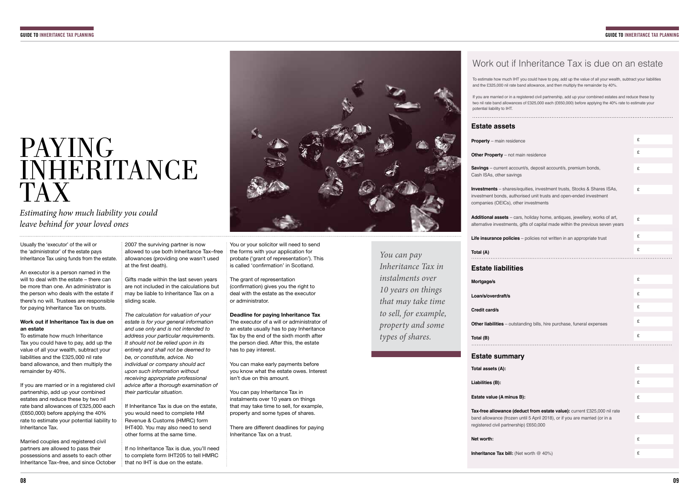## PAYING INHERITANCE TAX

*Estimating how much liability you could leave behind for your loved ones*

## Work out if Inheritance Tax is due on an estate

To estimate how much IHT you could have to pay, add up the value of all your wealth, subtract your liabilities and the £325,000 nil rate band allowance, and then multiply the remainder by 40%.

**Savings** – current account/s Cash ISAs, other savings

**Investments** – shares/equit investment bonds, authorise companies (OEICs), other in

**Additional assets – cars, holiday** alternative investments, gifts

**Life insurance policies - policies** 

If you are married or in a registered civil partnership, add up your combined estates and reduce these by two nil rate band allowances of £325,000 each (£650,000) before applying the 40% rate to estimate your

potential liability to IHT.

## **Estate assets**

**Property** – main residence

**Other Property** – not main

**Total (A)**

## **Estate liabilities**

**Mortgage/s**

**Loan/s/overdraft/s**

**Credit card/s**

**Other liabilities** – outstandi

**Total (B)**

## **Estate summary**

Married couples and registered civil partners are allowed to pass their possessions and assets to each other Inheritance Tax–free, and since October 2007 the surviving partner is now allowed to use both Inheritance Tax–free allowances (providing one wasn't used at the first death).

**Total assets (A):**

**Liabilities (B):**

**Estate value (A minus B):**

Tax-free allowance (deduc band allowance (frozen until registered civil partnership)

**Net worth:**

**Inheritance Tax bill: (Net w** 

|                                                                                                               | £ |
|---------------------------------------------------------------------------------------------------------------|---|
| residence                                                                                                     | £ |
| s, deposit account/s, premium bonds,                                                                          | £ |
|                                                                                                               |   |
| ies, investment trusts, Stocks & Shares ISAs,<br>d unit trusts and open-ended investment<br><b>ivestments</b> | £ |
|                                                                                                               |   |
| oliday home, antiques, jewellery, works of art,<br>of capital made within the previous seven years            | £ |
| olicies not written in an appropriate trust                                                                   | £ |
|                                                                                                               | £ |
|                                                                                                               |   |
|                                                                                                               |   |
|                                                                                                               | £ |
|                                                                                                               | £ |
|                                                                                                               | £ |
| ng bills, hire purchase, funeral expenses                                                                     | £ |
|                                                                                                               | £ |
|                                                                                                               |   |
|                                                                                                               |   |
|                                                                                                               | £ |
|                                                                                                               | £ |
|                                                                                                               | £ |
|                                                                                                               |   |
| t from estate value): current £325,000 nil rate<br>5 April 2018), or if you are married (or in a<br>2650,000  | £ |
|                                                                                                               |   |
|                                                                                                               | £ |
| orth @ 40%)                                                                                                   | £ |
|                                                                                                               |   |

Usually the 'executor' of the will or the 'administrator' of the estate pays Inheritance Tax using funds from the estate.

An executor is a person named in the will to deal with the estate – there can be more than one. An administrator is the person who deals with the estate if there's no will. Trustees are responsible for paying Inheritance Tax on trusts.

The grant of representation (confrmation) gives you the right to deal with the estate as the executor or administrator.

## **Work out if Inheritance Tax is due on an estate**

To estimate how much Inheritance Tax you could have to pay, add up the value of all your wealth, subtract your liabilities and the £325,000 nil rate band allowance, and then multiply the remainder by 40%.

If you are married or in a registered civil partnership, add up your combined estates and reduce these by two nil rate band allowances of £325,000 each (£650,000) before applying the 40% rate to estimate your potential liability to Inheritance Tax.

Gifts made within the last seven years are not included in the calculations but may be liable to Inheritance Tax on a sliding scale.

*The calculation for valuation of your estate is for your general information and use only and is not intended to address your particular requirements. It should not be relied upon in its entirety and shall not be deemed to be, or constitute, advice. No individual or company should act upon such information without receiving appropriate professional advice after a thorough examination of their particular situation.* 

If Inheritance Tax is due on the estate, you would need to complete HM Revenue & Customs (HMRC) form IHT400. You may also need to send other forms at the same time.

If no Inheritance Tax is due, you'll need to complete form IHT205 to tell HMRC that no IHT is due on the estate.



You or your solicitor will need to send the forms with your application for probate ('grant of representation'). This is called 'confrmation' in Scotland.

## **Deadline for paying Inheritance Tax**

The executor of a will or administrator of an estate usually has to pay Inheritance Tax by the end of the sixth month after the person died. After this, the estate has to pay interest.

You can make early payments before you know what the estate owes. Interest isn't due on this amount.

You can pay Inheritance Tax in instalments over 10 years on things that may take time to sell, for example, property and some types of shares.

There are diferent deadlines for paying Inheritance Tax on a trust.

*You can pay Inheritance Tax in instalments over 10 years on things that may take time to sell, for example, property and some types of shares.*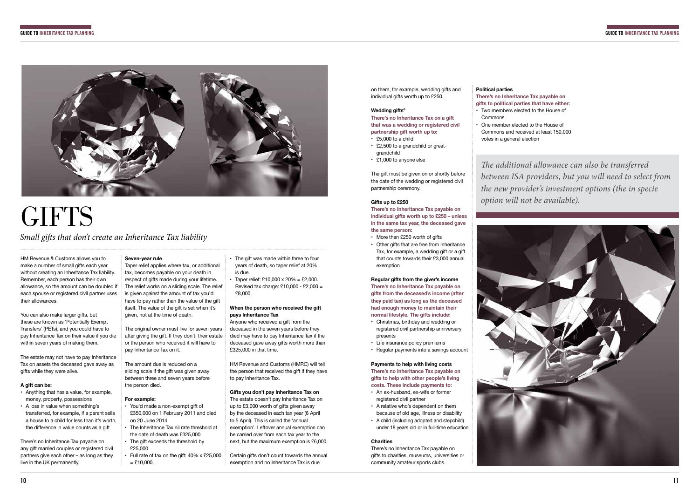

# **GIFTS**

*Small gi*f*s that don't create an Inheritance Tax liability*

HM Revenue & Customs allows you to make a number of small gifts each year without creating an Inheritance Tax liability. Remember, each person has their own allowance, so the amount can be doubled if each spouse or registered civil partner uses their allowances.

You can also make larger gifts, but these are known as 'Potentially Exempt Transfers' (PETs), and you could have to pay Inheritance Tax on their value if you die within seven years of making them.

The estate may not have to pay Inheritance Tax on assets the deceased gave away as gifts while they were alive.

## **A gift can be:**

- Anything that has a value, for example, money, property, possessions
- A loss in value when something's transferred, for example, if a parent sells a house to a child for less than it's worth, the diference in value counts as a gift
- You'd made a non-exempt gift of £350,000 on 1 February 2011 and died on 20 June 2014 • The Inheritance Tax nil rate threshold at
- the date of death was £325,000 The gift exceeds the threshold by
- £25,000 • Full rate of tax on the gift: 40% x £25,000
- $=$  £10,000.

There's no Inheritance Tax payable on any gift married couples or registered civil partners give each other – as long as they live in the UK permanently.

 $\frac{1}{2}$  Taper relief: £10,000 x 20% = £2,000. Revised tax charge: £10,000 - £2,000 = £8,000.

## **Seven-year rule**

Taper relief applies where tax, or additional tax, becomes payable on your death in respect of gifts made during your lifetime. The relief works on a sliding scale. The relief is given against the amount of tax you'd have to pay rather than the value of the gift itself. The value of the gift is set when it's given, not at the time of death.

The original owner must live for seven years after giving the gift. If they don't, their estate or the person who received it will have to pay Inheritance Tax on it.

The amount due is reduced on a sliding scale if the gift was given away between three and seven years before the person died.

### **For example:**

• The gift was made within three to four years of death, so taper relief at 20% is due.

> There's no Inheritance Tax payable on gifts to charities, museums, universities or community amateur sports clubs.

## **When the person who received the gift pays Inheritance Tax**

Anyone who received a gift from the deceased in the seven years before they died may have to pay Inheritance Tax if the deceased gave away gifts worth more than £325,000 in that time.

HM Revenue and Customs (HMRC) will tell the person that received the gift if they have to pay Inheritance Tax.

## **Gifts you don't pay Inheritance Tax on**

The estate doesn't pay Inheritance Tax on up to £3,000 worth of gifts given away by the deceased in each tax year (6 April to 5 April). This is called the 'annual exemption'. Leftover annual exemption can be carried over from each tax year to the next, but the maximum exemption is £6,000.

Certain gifts don't count towards the annual exemption and no Inheritance Tax is due

on them, for example, wedding gifts and individual gifts worth up to £250.

### **Wedding giftsº**

**There's no Inheritance Tax on a gift that was a wedding or registered civil partnership gift worth up to:**

- £5,000 to a child
- £2,500 to a grandchild or great-
- grandchild • £1,000 to anyone else

The gift must be given on or shortly before the date of the wedding or registered civil partnership ceremony.

### **Gifts up to £250**

**There's no Inheritance Tax payable on individual gifts worth up to £250 – unless in the same tax year, the deceased gave the same person:**

- More than £250 worth of gifts
- Other gifts that are free from Inheritance Tax, for example, a wedding gift or a gift that counts towards their £3,000 annual exemption

**Regular gifts from the giver's income There's no Inheritance Tax payable on gifts from the deceased's income (after they paid tax) as long as the deceased had enough money to maintain their normal lifestyle. The gifts include:**

- Christmas, birthday and wedding or registered civil partnership anniversary presents
- Life insurance policy premiums
- Regular payments into a savings account

**Payments to help with living costs There's no Inheritance Tax payable on gifts to help with other people's living** 

**costs. These include payments to:**

• An ex-husband, ex-wife or former registered civil partner

- A relative who's dependent on them because of old age, illness or disability
- A child (including adopted and stepchild) under 18 years old or in full-time education

## **Charities**

## **Political parties**

**There's no Inheritance Tax payable on gifts to political parties that have either:**

- Two members elected to the House of Commons
- One member elected to the House of Commons and received at least 150,000 votes in a general election

T*e additional allowance can also be transferred between ISA providers, but you will need to select from the new provider's investment options (the in specie option will not be available).* 

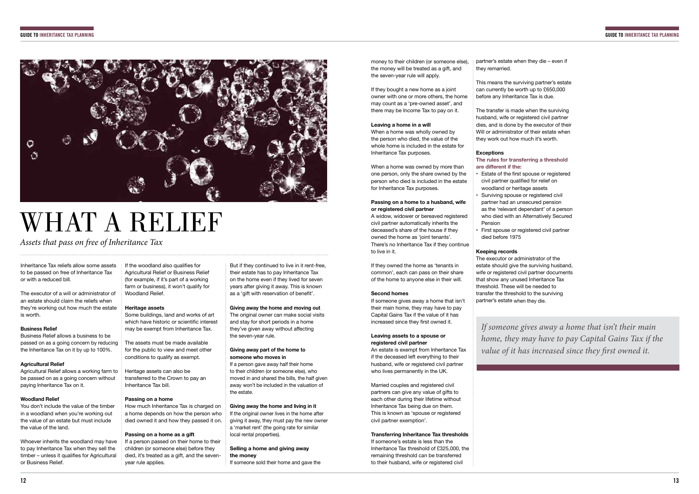

# WHAT A RELIEF

## *Assets that pass on free of Inheritance Tax*

Inheritance Tax reliefs allow some assets to be passed on free of Inheritance Tax or with a reduced bill.

The executor of a will or administrator of an estate should claim the reliefs when they're working out how much the estate is worth.

## **Business Relief**

Business Relief allows a business to be passed on as a going concern by reducing the Inheritance Tax on it by up to 100%.

## **Agricultural Relief**

Agricultural Relief allows a working farm to be passed on as a going concern without paying Inheritance Tax on it.

## **Woodland Relief**

You don't include the value of the timber in a woodland when you're working out the value of an estate but must include the value of the land.

> If a person passed on their home to their children (or someone else) before they died, it's treated as a gift, and the sevenvear rule applies.

But if they continued to live in it rent-free, their estate has to pay Inheritance Tax on the home even if they lived for seven years after giving it away. This is known as a 'gift with reservation of benefit'.

Whoever inherits the woodland may have to pay Inheritance Tax when they sell the timber – unless it qualifies for Agricultural or Business Relief.

 $\parallel$  If the woodland also qualifies for Agricultural Relief or Business Relief (for example, if it's part of a working farm or business), it won't qualify for Woodland Relief

> The original owner can make social visits and stay for short periods in a home they've given away without afecting the seven-year rule.

### **Heritage assets**

Some buildings, land and works of art which have historic or scientific interest may be exempt from Inheritance Tax.

> If the original owner lives in the home after giving it away, they must pay the new owner a 'market rent' (the going rate for similar local rental properties).

The assets must be made available for the public to view and meet other conditions to qualify as exempt.

Heritage assets can also be transferred to the Crown to pay an Inheritance Tax bill.

## **Passing on a home**

How much Inheritance Tax is charged on a home depends on how the person who died owned it and how they passed it on.

### **Passing on a home as a gift**

If someone gives away a home that isn't their main home, they may have to pay Capital Gains Tax if the value of it has increased since they first owned it.

## **Giving away the home and moving out**

Married couples and registered civil partners can give any value of gifts to each other during their lifetime without Inheritance Tax being due on them. This is known as 'spouse or registered

**Transferring Inheritance Tax thresholds** If someone's estate is less than the Inheritance Tax threshold of £325,000, the remaining threshold can be transferred to their husband, wife or registered civil

## **Giving away part of the home to someone who moves in**

If a person gave away half their home to their children (or someone else), who moved in and shared the bills, the half given away won't be included in the valuation of the estate.

## **Giving away the home and living in it**

• Estate of the first spouse or registered civil partner qualifed for relief on woodland or heritage assets • Surviving spouse or registered civil partner had an unsecured pension as the 'relevant dependant' of a person who died with an Alternatively Secured

## **Selling a home and giving away the money**

If someone sold their home and gave the

If they bought a new home as a joint owner with one or more others, the home may count as a 'pre-owned asset', and there may be Income Tax to pay on it.

### **Leaving a home in a will**

# When a home was wholly owned by

the person who died, the value of the

whole home is included in the estate for Inheritance Tax purposes.

When a home was owned by more than one person, only the share owned by the person who died is included in the estate

for Inheritance Tax purposes.

### **Passing on a home to a husband, wife or registered civil partner**

A widow, widower or bereaved registered civil partner automatically inherits the deceased's share of the house if they owned the home as 'joint tenants'. to live in it.

There's no Inheritance Tax if they continue

money to their children (or someone else), the money will be treated as a gift, and the seven-year rule will apply. they remarried.

If they owned the home as 'tenants in common', each can pass on their share of the home to anyone else in their will.

**Second homes**

**Leaving assets to a spouse or** 

**registered civil partner**

An estate is exempt from Inheritance Tax if the deceased left everything to their husband, wife or registered civil partner who lives permanently in the UK.

civil partner exemption'.

partner's estate when they die – even if

This means the surviving partner's estate can currently be worth up to £650,000 before any Inheritance Tax is due.

The transfer is made when the surviving husband, wife or registered civil partner dies, and is done by the executor of their Will or administrator of their estate when they work out how much it's worth.

**Exceptions**

## **The rules for transferring a threshold**

**are diferent if the:**

• First spouse or registered civil partner

## Pension died before 1975 **Keeping records**

The executor or administrator of the estate should give the surviving husband, wife or registered civil partner documents that show any unused Inheritance Tax threshold. These will be needed to transfer the threshold to the surviving partner's estate when they die.

*If someone gives away a home that isn't their main home, they may have to pay Capital Gains Tax if the value of it has increased since they* f*rst owned it.*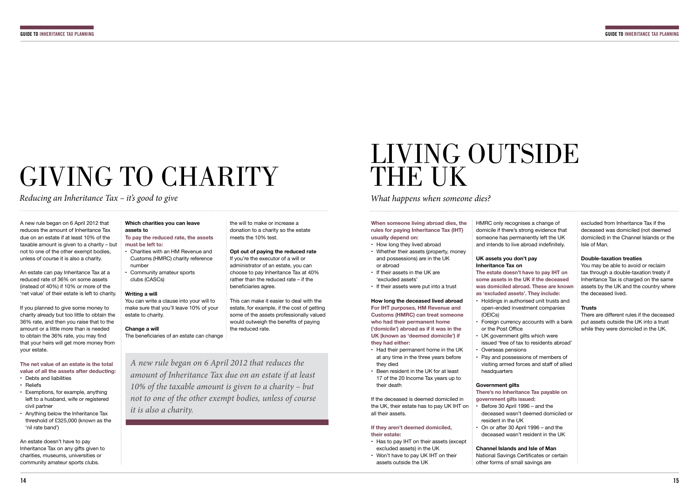# GIVING TO CHARITY

*Reducing an Inheritance Tax – it's good to give*

A new rule began on 6 April 2012 that reduces the amount of Inheritance Tax due on an estate if at least 10% of the taxable amount is given to a charity – but not to one of the other exempt bodies, unless of course it is also a charity.

An estate can pay Inheritance Tax at a reduced rate of 36% on some assets (instead of 40%) if 10% or more of the 'net value' of their estate is left to charity.

An estate doesn't have to pay Inheritance Tax on any gifts given to charities, museums, universities or community amateur sports clubs.

If you planned to give some money to charity already but too little to obtain the 36% rate, and then you raise that to the amount or a little more than is needed to obtain the 36% rate, you may find that your heirs will get more money from your estate.

## LIVING OUTSIDE THE UK

**The net value of an estate is the total value of all the assets after deducting:**

- Debts and liabilities
- Reliefs
- Exemptions, for example, anything left to a husband, wife or registered civil partner
- Anything below the Inheritance Tax threshold of £325,000 (known as the 'nil rate band')

## **Which charities you can leave assets to**

## **To pay the reduced rate, the assets must be left to:**

HMRC only recognises a change of domicile if there's strong evidence that someone has permanently left the UK and intends to live abroad indefinitely.

- Charities with an HM Revenue and Customs (HMRC) charity reference number
- Community amateur sports clubs (CASCs)

## **Writing a will**

You can write a clause into your will to make sure that you'll leave 10% of your estate to charity.

## **Change a will**

The beneficiaries of an estate can change

## *What happens when someone dies?*

**When someone living abroad dies, the rules for paying Inheritance Tax (IHT) usually depend on:**

- How long they lived abroad
- Whether their assets (property, money and possessions) are in the UK or abroad
- If their assets in the UK are 'excluded assets'
- If their assets were put into a trust

**How long the deceased lived abroad For IHT purposes, HM Revenue and Customs (HMRC) can treat someone who had their permanent home ('domicile') abroad as if it was in the UK (known as 'deemed domicile') if they had either:**

If you're the executor of a will or administrator of an estate, you can choose to pay Inheritance Tax at 40% rather than the reduced rate – if the beneficiaries agree.

- Had their permanent home in the UK
- at any time in the three years before they died
- Been resident in the UK for at least 17 of the 20 Income Tax years up to their death

If the deceased is deemed domiciled in the UK, their estate has to pay UK IHT on all their assets.

## **If they aren't deemed domiciled, their estate:**

- Has to pay IHT on their assets (except excluded assets) in the UK
- Won't have to pay UK IHT on their assets outside the UK

## **UK assets you don't pay Inheritance Tax on**

**The estate doesn't have to pay IHT on some assets in the UK if the deceased was domiciled abroad. These are known as 'excluded assets'. They include:** • Holdings in authorised unit trusts and open-ended investment companies

- 
- (OEICs) • Foreign currency accounts with a bank or the Post Office
- UK government gilts which were
- issued 'free of tax to residents abroad'
- Overseas pensions • Pay and possessions of members of
- visiting armed forces and staff of allied headquarters
- **Government gilts**

## **There's no Inheritance Tax payable on**

**government gilts issued:**

• Before 30 April 1996 – and the

- deceased wasn't deemed domiciled or resident in the UK
- On or after 30 April 1996 and the deceased wasn't resident in the UK

**Channel Islands and Isle of Man** National Savings Certificates or certain other forms of small savings are

excluded from Inheritance Tax if the deceased was domiciled (not deemed domiciled) in the Channel Islands or the Isle of Man.

## **Double-taxation treaties**

You may be able to avoid or reclaim tax through a double-taxation treaty if Inheritance Tax is charged on the same assets by the UK and the country where the deceased lived.

## **Trusts**

There are diferent rules if the deceased put assets outside the UK into a trust while they were domiciled in the UK.

*A new rule began on 6 April 2012 that reduces the amount of Inheritance Tax due on an estate if at least 10% of the taxable amount is given to a charity – but not to one of the other exempt bodies, unless of course it is also a charity.* 

the will to make or increase a donation to a charity so the estate meets the 10% test.

## **Opt out of paying the reduced rate**

This can make it easier to deal with the estate, for example, if the cost of getting some of the assets professionally valued would outweigh the benefits of paying the reduced rate.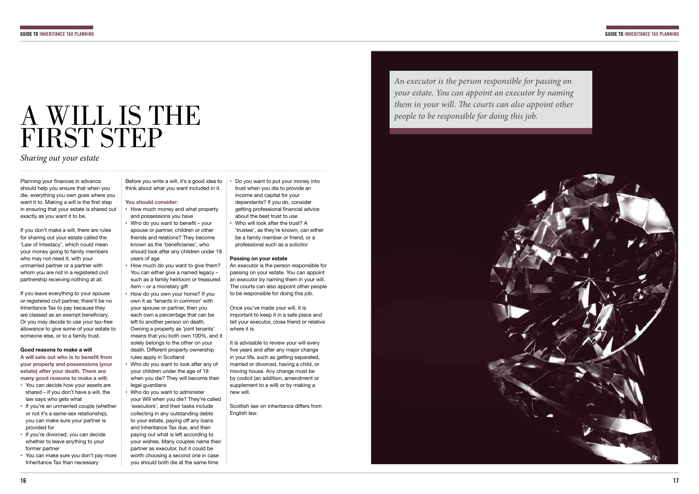

## A WILL IS THE FIRST STEP

*Sharing out your estate*

Planning your finances in advance should help you ensure that when you die, everything you own goes where you want it to. Making a will is the first step in ensuring that your estate is shared out exactly as you want it to be.

If you don't make a will, there are rules for sharing out your estate called the 'Law of Intestacy', which could mean your money going to family members who may not need it, with your unmarried partner or a partner with whom you are not in a registered civil partnership receiving nothing at all.

A will sets out who is to benefit from **your property and possessions (your estate) after your death. There are many good reasons to make a will:**

If you leave everything to your spouse or registered civil partner, there'll be no Inheritance Tax to pay because they are classed as an exempt beneficiary. Or you may decide to use your tax-free allowance to give some of your estate to someone else, or to a family trust.

### **Good reasons to make a will**

- You can decide how your assets are shared – if you don't have a will, the law says who gets what
- If you're an unmarried couple (whether or not it's a same-sex relationship), you can make sure your partner is provided for
- If you're divorced, you can decide whether to leave anything to your former partner
- You can make sure you don't pay more Inheritance Tax than necessary

Before you write a will, it's a good idea to think about what you want included in it.

### **You should consider:**

- How much money and what property and possessions you have
- Who do you want to benefit your spouse or partner, children or other friends and relations? They become known as the 'beneficiaries', who should look after any children under 18 years of age
- How much do you want to give them? You can either give a named legacy – such as a family heirloom or treasured item – or a monetary gift
- How do you own your home? If you own it as 'tenants in common' with your spouse or partner, then you each own a percentage that can be left to another person on death. Owning a property as 'joint tenants' means that you both own 100%, and it solely belongs to the other on your death. Diferent property ownership rules apply in Scotland
- Who do you want to look after any of your children under the age of 18 when you die? They will become their legal guardians
- Who do you want to administer your Will when you die? They're called 'executors', and their tasks include collecting in any outstanding debts to your estate, paying off any loans and Inheritance Tax due, and then paying out what is left according to your wishes. Many couples name their partner as executor, but it could be worth choosing a second one in case you should both die at the same time

• Do you want to put your money into trust when you die to provide an income and capital for your dependants? If you do, consider getting professional financial advice about the best trust to use • Who will look after the trust? A

'trustee', as they're known, can either be a family member or friend, or a professional such as a solicitor

## **Passing on your estate**

An executor is the person responsible for passing on your estate. You can appoint an executor by naming them in your will. The courts can also appoint other people to be responsible for doing this job.

Once you've made your will, it is important to keep it in a safe place and tell your executor, close friend or relative where it is.

It is advisable to review your will every five years and after any major change in your life, such as getting separated, married or divorced, having a child, or moving house. Any change must be by codicil (an addition, amendment or supplement to a will) or by making a new will.

Scottish law on inheritance difers from English law.

## *An executor is the person responsible for passing on your estate. You can appoint an executor by naming them in your will. The courts can also appoint other people to be responsible for doing this job.*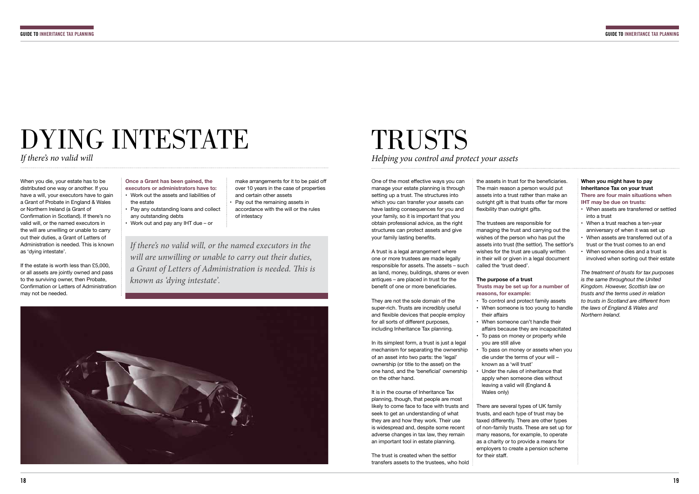# DYING INTESTATE

*If there's no valid will*

When you die, your estate has to be distributed one way or another. If you have a will, your executors have to gain a Grant of Probate in England & Wales or Northern Ireland (a Grant of Confrmation in Scotland). If there's no valid will, or the named executors in the will are unwilling or unable to carry out their duties, a Grant of Letters of Administration is needed. This is known as 'dying intestate'.

One of the most efective ways you can manage your estate planning is through setting up a trust. The structures into which you can transfer your assets can have lasting consequences for you and your family, so it is important that you obtain professional advice, as the right structures can protect assets and give your family lasting benefits.

If the estate is worth less than £5,000, or all assets are jointly owned and pass to the surviving owner, then Probate, Confrmation or Letters of Administration may not be needed.

## **Once a Grant has been gained, the**

A trust is a legal arrangement where one or more trustees are made legally responsible for assets. The assets – such as land, money, buildings, shares or even antiques – are placed in trust for the benefit of one or more beneficiaries.

- **executors or administrators have to:** • Work out the assets and liabilities of the estate
- Pay any outstanding loans and collect any outstanding debts
- Work out and pay any IHT due or

make arrangements for it to be paid of over 10 years in the case of properties and certain other assets

• Pay out the remaining assets in accordance with the will or the rules of intestacy

# TRUSTS

*Helping you control and protect your assets*

There are several types of UK family trusts, and each type of trust may be taxed diferently. There are other types of non-family trusts. These are set up for many reasons, for example, to operate as a charity or to provide a means for employers to create a pension scheme for their staff.

They are not the sole domain of the super-rich. Trusts are incredibly useful and flexible devices that people employ for all sorts of diferent purposes, including Inheritance Tax planning.

In its simplest form, a trust is just a legal mechanism for separating the ownership of an asset into two parts: the 'legal' ownership (or title to the asset) on the one hand, and the 'benefcial' ownership on the other hand.

It is in the course of Inheritance Tax planning, though, that people are most likely to come face to face with trusts and seek to get an understanding of what they are and how they work. Their use is widespread and, despite some recent adverse changes in tax law, they remain an important tool in estate planning.

The trust is created when the settlor transfers assets to the trustees, who hold the assets in trust for the beneficiaries. The main reason a person would put assets into a trust rather than make an outright gift is that trusts offer far more flexibility than outright gifts.

The trustees are responsible for managing the trust and carrying out the wishes of the person who has put the assets into trust (the settlor). The settlor's wishes for the trust are usually written in their will or given in a legal document called the 'trust deed'.

**The purpose of a trust Trusts may be set up for a number of reasons, for example:**

afairs because they are incapacitated

- To control and protect family assets • When someone is too young to handle
- their afairs • When someone can't handle their
	- To pass on money or property while
	- you are still alive
	- die under the terms of your will known as a 'will trust' • Under the rules of inheritance that
	- apply when someone dies without leaving a valid will (England & Wales only)

• To pass on money or assets when you

## **When you might have to pay Inheritance Tax on your trust There are four main situations when IHT may be due on trusts:**

- When assets are transferred or settled into a trust
- When a trust reaches a ten-year anniversary of when it was set up
- When assets are transferred out of a trust or the trust comes to an end
- When someone dies and a trust is involved when sorting out their estate

*The treatment of trusts for tax purposes is the same throughout the United Kingdom. However, Scottish law on trusts and the terms used in relation to trusts in Scotland are diferent from the laws of England & Wales and Northern Ireland.*

*If there's no valid will, or the named executors in the will are unwilling or unable to carry out their duties, a Grant of Letters of Administration is needed.* T*is is known as 'dying intestate'.*

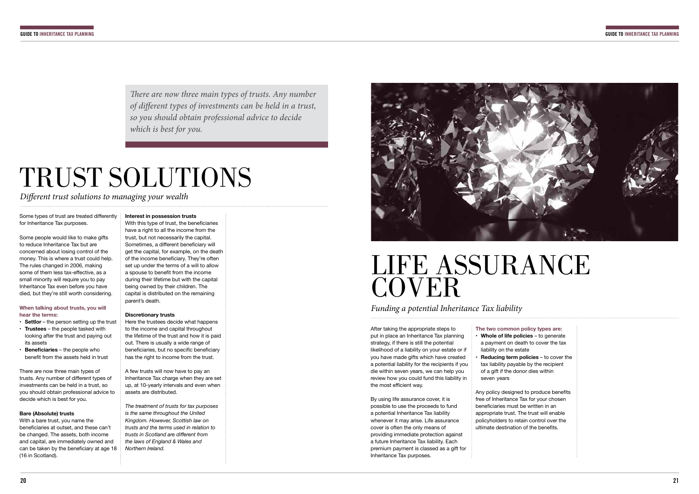# TRUST SOLUTIONS

Some types of trust are treated differently for Inheritance Tax purposes.

*Di*f*erent trust solutions to managing your wealth* 

- **Settlor** the person setting up the trust
- **Trustees** the people tasked with looking after the trust and paying out its assets
- **Beneficiaries** the people who benefit from the assets held in trust

Some people would like to make gifts to reduce Inheritance Tax but are concerned about losing control of the money. This is where a trust could help. The rules changed in 2006, making some of them less tax-efective, as a small minority will require you to pay Inheritance Tax even before you have died, but they're still worth considering.

**When talking about trusts, you will hear the terms:**

There are now three main types of trusts. Any number of diferent types of investments can be held in a trust, so you should obtain professional advice to decide which is best for you.

## **Bare (Absolute) trusts**

With a bare trust, you name the beneficiaries at outset, and these can't be changed. The assets, both income and capital, are immediately owned and can be taken by the beneficiary at age 18 (16 in Scotland).

## LIFE ASSURANCE **COVER**

After taking the appropriate steps to put in place an Inheritance Tax planning strategy, if there is still the potential likelihood of a liability on your estate or if you have made gifts which have created a potential liability for the recipients if you die within seven years, we can help you review how you could fund this liability in the most efficient way.

**Interest in possession trusts** With this type of trust, the beneficiaries have a right to all the income from the trust, but not necessarily the capital. Sometimes, a different beneficiary will get the capital, for example, on the death of the income beneficiary. They're often set up under the terms of a will to allow a spouse to benefit from the income during their lifetime but with the capital being owned by their children. The

capital is distributed on the remaining

parent's death.

free of Inheritance Tax for your chosen beneficiaries must be written in an appropriate trust. The trust will enable policyholders to retain control over the ultimate destination of the benefits.

### **Discretionary trusts**

Here the trustees decide what happens to the income and capital throughout the lifetime of the trust and how it is paid out. There is usually a wide range of beneficiaries, but no specific beneficiary has the right to income from the trust.

There are now three main types of trusts. Any number *of di*f*erent types of investments can be held in a trust, so you should obtain professional advice to decide which is best for you.*

A few trusts will now have to pay an Inheritance Tax charge when they are set up, at 10-yearly intervals and even when assets are distributed.

*The treatment of trusts for tax purposes is the same throughout the United Kingdom. However, Scottish law on trusts and the terms used in relation to trusts in Scotland are diferent from the laws of England & Wales and Northern Ireland.*



*Funding a potential Inheritance Tax liability*

By using life assurance cover, it is possible to use the proceeds to fund a potential Inheritance Tax liability whenever it may arise. Life assurance cover is often the only means of providing immediate protection against a future Inheritance Tax liability. Each premium payment is classed as a gift for Inheritance Tax purposes.

### **The two common policy types are:** • **Whole of life policies** – to generate

• **Reducing term policies** – to cover the

Any policy designed to produce benefits

- a payment on death to cover the tax liability on the estate
- tax liability payable by the recipient of a gift if the donor dies within seven years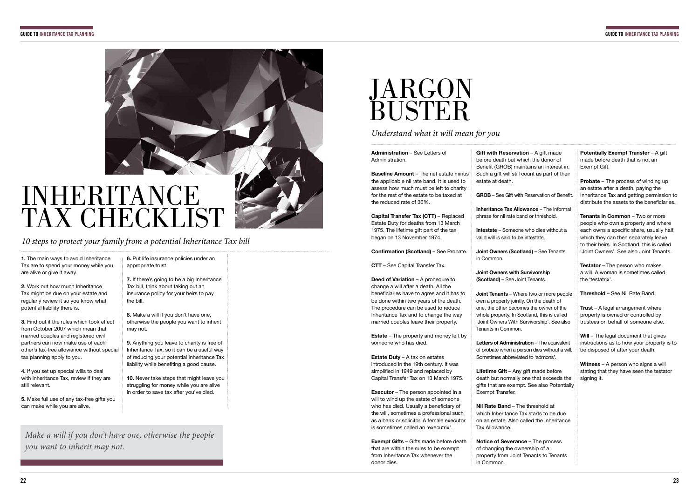

*10 steps to protect your family from a potential Inheritance Tax bill*

**1.** The main ways to avoid Inheritance Tax are to spend your money while you are alive or give it away.

**3.** Find out if the rules which took effect from October 2007 which mean that married couples and registered civil partners can now make use of each other's tax-free allowance without special tax planning apply to you.

**2.** Work out how much Inheritance Tax might be due on your estate and regularly review it so you know what potential liability there is.

> **9.** Anything you leave to charity is free of Inheritance Tax, so it can be a useful way of reducing your potential Inheritance Tax liability while benefiting a good cause.

**4.** If you set up special wills to deal with Inheritance Tax, review if they are still relevant.

**10.** Never take steps that might leave you struggling for money while you are alive in order to save tax after you've died.

## **JARGON** BUSTER

**5.** Make full use of any tax-free gifts you can make while you are alive.

**6.** Put life insurance policies under an appropriate trust.

**7.** If there's going to be a big Inheritance Tax bill, think about taking out an insurance policy for your heirs to pay the bill.

**8.** Make a will if you don't have one, otherwise the people you want to inherit may not.

 *Understand what it will mean for you*

**Administration** – See Letters of Administration.

**Baseline Amount** – The net estate minus the applicable nil rate band. It is used to assess how much must be left to charity for the rest of the estate to be taxed at the reduced rate of 36%.

**Capital Transfer Tax (CTT)** – Replaced Estate Duty for deaths from 13 March 1975. The lifetime gift part of the tax began on 13 November 1974.

> **Letters of Administration** – The equivalent of probate when a person dies without a will. Sometimes abbreviated to 'admons'.

**Confrmation (Scotland)** – See Probate.

**Lifetime Gift** – Any gift made before death but normally one that exceeds the gifts that are exempt. See also Potentially Exempt Transfer.

**CTT** – See Capital Transfer Tax.

**Potentially Exempt Transfer - A gift** made before death that is not an Exempt Gift.

**Deed of Variation** – A procedure to change a will after a death. All the beneficiaries have to agree and it has to be done within two years of the death. The procedure can be used to reduce Inheritance Tax and to change the way married couples leave their property.

**Probate** – The process of winding up an estate after a death, paying the Inheritance Tax and getting permission to distribute the assets to the beneficiaries.

**Estate** – The property and money left by someone who has died.

**Estate Duty** – A tax on estates introduced in the 19th century. It was simplifed in 1949 and replaced by Capital Transfer Tax on 13 March 1975.

Will – The legal document that gives instructions as to how your property is to be disposed of after your death.

**Witness** – A person who signs a will stating that they have seen the testator signing it.

**Executor** – The person appointed in a will to wind up the estate of someone who has died. Usually a beneficiary of the will, sometimes a professional such as a bank or solicitor. A female executor is sometimes called an 'executrix'.

**Exempt Gifts** – Gifts made before death that are within the rules to be exempt from Inheritance Tax whenever the donor dies.

**Gift with Reservation** – A gift made before death but which the donor of Benefit (GROB) maintains an interest in. Such a gift will still count as part of their estate at death.

**GROB** – See Gift with Reservation of Beneft.

**Inheritance Tax Allowance** – The informal phrase for nil rate band or threshold.

**Intestate** – Someone who dies without a valid will is said to be intestate.

**Joint Owners (Scotland)** – See Tenants in Common.

**Joint Owners with Survivorship (Scotland)** – See Joint Tenants.

**Joint Tenants** – Where two or more people own a property jointly. On the death of one, the other becomes the owner of the whole property. In Scotland, this is called 'Joint Owners With Survivorship'. See also Tenants in Common.

**Nil Rate Band** – The threshold at which Inheritance Tax starts to be due on an estate. Also called the Inheritance Tax Allowance.

**Notice of Severance** – The process of changing the ownership of a property from Joint Tenants to Tenants in Common.

**Tenants in Common** – Two or more people who own a property and where each owns a specific share, usually half, which they can then separately leave to their heirs. In Scotland, this is called 'Joint Owners'. See also Joint Tenants.

**Testator** – The person who makes a will. A woman is sometimes called the 'testatrix'.

**Threshold** – See Nil Rate Band.

**Trust** – A legal arrangement where property is owned or controlled by trustees on behalf of someone else.

*Make a will if you don't have one, otherwise the people you want to inherit may not.*